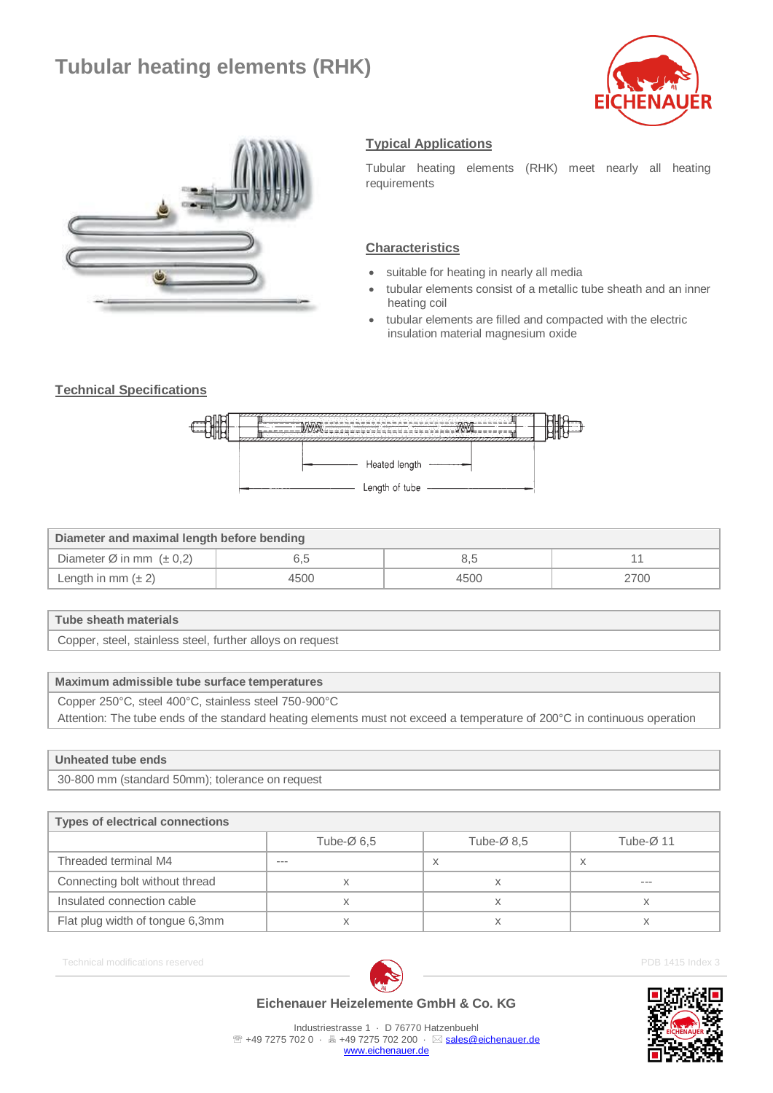# **Tubular heating elements (RHK)**





# **Typical Applications**

Tubular heating elements (RHK) meet nearly all heating requirements

#### **Characteristics**

- suitable for heating in nearly all media
- tubular elements consist of a metallic tube sheath and an inner heating coil
- tubular elements are filled and compacted with the electric insulation material magnesium oxide

## **Technical Specifications**



| Diameter and maximal length before bending |      |      |      |  |  |
|--------------------------------------------|------|------|------|--|--|
| Diameter Ø in mm $(\pm 0.2)$               |      |      |      |  |  |
| Length in mm $(\pm 2)$                     | 4500 | 4500 | 2700 |  |  |

#### **Tube sheath materials**

Copper, steel, stainless steel, further alloys on request

## **Maximum admissible tube surface temperatures**

Copper 250°C, steel 400°C, stainless steel 750-900°C

Attention: The tube ends of the standard heating elements must not exceed a temperature of 200°C in continuous operation

#### **Unheated tube ends**

30-800 mm (standard 50mm); tolerance on request

| <b>Types of electrical connections</b> |                         |                         |                        |  |  |
|----------------------------------------|-------------------------|-------------------------|------------------------|--|--|
|                                        | Tube- $\varnothing$ 6.5 | Tube- $\varnothing$ 8.5 | Tube- $\varnothing$ 11 |  |  |
| Threaded terminal M4                   | ---                     | $\lambda$               | X                      |  |  |
| Connecting bolt without thread         |                         |                         | $- - -$                |  |  |
| Insulated connection cable             |                         |                         |                        |  |  |
| Flat plug width of tongue 6,3mm        |                         |                         |                        |  |  |

Technical modifications reserved **PDB 1415** Index 3





Industriestrasse 1 · D 76770 Hatzenbuehl <sup>2</sup> +49 7275 702 0 · 昌 +49 7275 702 200 · ⊠ [sales@eichenauer.de](mailto:sales@eichenauer.de) [www.eichenauer.de](http://www.eichenauer.de/)